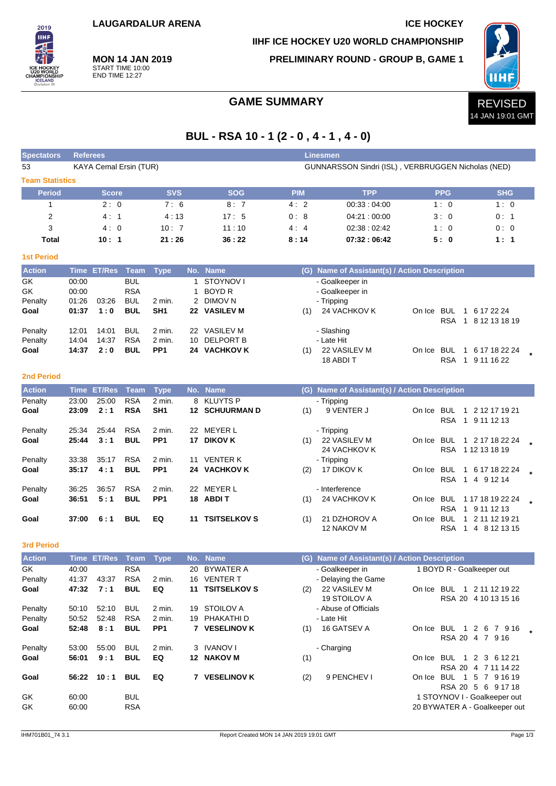**IIHF ICE HOCKEY U20 WORLD CHAMPIONSHIP**

**PRELIMINARY ROUND - GROUP B, GAME 1**



**MON 14 JAN 2019** START TIME 10:00 END TIME 12:27

2019 **IIHF** 

## GAME SUMMARY **REVISED**

# **BUL - RSA 10 - 1 (2 - 0 , 4 - 1 , 4 - 0)**

| <b>Spectators</b>      | <b>Referees</b> |                    |                          |                           |    |                           |            | Linesmen                                           |                               |                      |
|------------------------|-----------------|--------------------|--------------------------|---------------------------|----|---------------------------|------------|----------------------------------------------------|-------------------------------|----------------------|
| 53                     |                 |                    | KAYA Cemal Ersin (TUR)   |                           |    |                           |            | GUNNARSSON Sindri (ISL), VERBRUGGEN Nicholas (NED) |                               |                      |
| <b>Team Statistics</b> |                 |                    |                          |                           |    |                           |            |                                                    |                               |                      |
| <b>Period</b>          |                 | <b>Score</b>       |                          | <b>SVS</b>                |    | <b>SOG</b>                | <b>PIM</b> | <b>TPP</b>                                         | <b>PPG</b>                    | <b>SHG</b>           |
| 1                      |                 | 2:0                |                          | 7:6                       |    | 8:7                       | 4:2        | 00:33:04:00                                        | 1:0                           | 1:0                  |
| 2                      |                 | 4:1                |                          | 4:13                      |    | 17:5                      | 0:8        | 04:21:00:00                                        | 3:0                           | 0: 1                 |
| 3                      |                 | 4:0                |                          | 10:7                      |    | 11:10                     | 4:4        | 02:38:02:42                                        | 1:0                           | 0:0                  |
| <b>Total</b>           |                 | 10:1               |                          | 21:26                     |    | 36:22                     | 8:14       | 07:32:06:42                                        | 5:0                           | 1:1                  |
| <b>1st Period</b>      |                 |                    |                          |                           |    |                           |            |                                                    |                               |                      |
| <b>Action</b>          |                 | Time ET/Res        | Team                     | <b>Type</b>               |    | No. Name                  |            | (G) Name of Assistant(s) / Action Description      |                               |                      |
| GK                     | 00:00           |                    | <b>BUL</b>               |                           | 1  | <b>STOYNOV I</b>          |            | - Goalkeeper in                                    |                               |                      |
| GK                     | 00:00           |                    | <b>RSA</b>               |                           | 1  | <b>BOYD R</b>             |            | - Goalkeeper in                                    |                               |                      |
| Penalty<br>Goal        | 01:26<br>01:37  | 03:26<br>1:0       | <b>BUL</b><br><b>BUL</b> | 2 min.<br>SH <sub>1</sub> |    | 2 DIMOV N<br>22 VASILEV M | (1)        | - Tripping<br>24 VACHKOV K                         | On Ice BUL                    | 1 6 17 22 24         |
|                        |                 |                    |                          |                           |    |                           |            |                                                    | RSA                           | 1 8 12 13 18 19      |
| Penalty                | 12:01           | 14:01              | <b>BUL</b>               | 2 min.                    | 22 | <b>VASILEV M</b>          |            | - Slashing                                         |                               |                      |
| Penalty                | 14:04           | 14:37              | <b>RSA</b>               | 2 min.                    | 10 | <b>DELPORT B</b>          |            | - Late Hit                                         |                               |                      |
| Goal                   | 14:37           | 2:0                | <b>BUL</b>               | PP <sub>1</sub>           |    | 24 VACHKOV K              | (1)        | 22 VASILEV M                                       | On Ice BUL                    | 1 6 17 18 22 24      |
|                        |                 |                    |                          |                           |    |                           |            | 18 ABDI T                                          | <b>RSA</b>                    | 1 9 11 16 22         |
| <b>2nd Period</b>      |                 |                    |                          |                           |    |                           |            |                                                    |                               |                      |
| <b>Action</b>          |                 | <b>Time ET/Res</b> | <b>Team</b>              | <b>Type</b>               |    | No. Name                  |            | (G) Name of Assistant(s) / Action Description      |                               |                      |
| Penalty                | 23:00           | 25:00              | <b>RSA</b>               | 2 min.                    |    | 8 KLUYTS P                |            | - Tripping                                         |                               |                      |
| Goal                   | 23:09           | 2:1                | <b>RSA</b>               | SH <sub>1</sub>           |    | <b>12 SCHUURMAN D</b>     | (1)        | 9 VENTER J                                         | On Ice BUL                    | 1 2 12 17 19 21      |
| Penalty                | 25:34           | 25:44              | <b>RSA</b>               | 2 min.                    |    | 22 MEYER L                |            | - Tripping                                         | <b>RSA</b>                    | 1 9 11 12 13         |
| Goal                   | 25:44           | 3:1                | <b>BUL</b>               | PP <sub>1</sub>           |    | 17 DIKOV K                | (1)        | 22 VASILEV M                                       | On Ice BUL                    | 1 2 17 18 22 24      |
|                        |                 |                    |                          |                           |    |                           |            | 24 VACHKOV K                                       |                               | RSA 112131819        |
| Penalty                | 33:38           | 35:17              | <b>RSA</b>               | 2 min.                    | 11 | <b>VENTER K</b>           |            | - Tripping                                         |                               |                      |
| Goal                   | 35:17           | 4:1                | <b>BUL</b>               | PP <sub>1</sub>           | 24 | <b>VACHKOV K</b>          | (2)        | 17 DIKOV K                                         | On Ice BUL                    | 1 6 17 18 22 24      |
| Penalty                | 36:25           | 36:57              | <b>RSA</b>               | 2 min.                    |    | 22 MEYER L                |            | - Interference                                     | <b>RSA</b>                    | 1 4 9 12 14          |
| Goal                   | 36:51           | 5:1                | <b>BUL</b>               | PP <sub>1</sub>           |    | 18 ABDIT                  | (1)        | 24 VACHKOV K                                       | On Ice BUL                    | 1 17 18 19 22 24     |
|                        |                 |                    |                          |                           |    |                           |            |                                                    | <b>RSA</b>                    | 1 9 11 12 13         |
| Goal                   | 37:00           | 6:1                | <b>BUL</b>               | EQ                        |    | <b>11 TSITSELKOV S</b>    | (1)        | 21 DZHOROV A                                       | On Ice BUL                    | 1 2 11 12 19 21      |
|                        |                 |                    |                          |                           |    |                           |            | 12 NAKOV M                                         | <b>RSA</b>                    | 1 4 8 12 13 15       |
| <b>3rd Period</b>      |                 |                    |                          |                           |    |                           |            |                                                    |                               |                      |
| <b>Action</b>          |                 | Time ET/Res Team   |                          | <b>Type</b>               |    | No. Name                  |            | (G) Name of Assistant(s) / Action Description      |                               |                      |
| GK                     | 40:00           |                    | <b>RSA</b>               |                           |    | 20 BYWATER A              |            | - Goalkeeper in                                    | 1 BOYD R - Goalkeeper out     |                      |
| Penalty                | 41:37           | 43:37              | <b>RSA</b>               | 2 min.                    |    | 16 VENTER T               |            | - Delaying the Game                                |                               |                      |
| Goal                   | 47:32           | 7:1                | <b>BUL</b>               | EQ                        |    | 11 TSITSELKOV S           | (2)        | 22 VASILEV M<br>19 STOILOV A                       | On Ice BUL 1 2 11 12 19 22    | RSA 20 4 10 13 15 16 |
| Penalty                | 50:10           | 52:10              | <b>BUL</b>               | 2 min.                    |    | 19 STOILOV A              |            | - Abuse of Officials                               |                               |                      |
| Penalty                | 50:52           | 52:48              | <b>RSA</b>               | 2 min.                    |    | 19 PHAKATHI D             |            | - Late Hit                                         |                               |                      |
| Goal                   | 52:48           | 8:1                | <b>BUL</b>               | PP <sub>1</sub>           |    | 7 VESELINOV K             | (1)        | 16 GATSEV A                                        | On Ice BUL 1 2 6 7 9 16       |                      |
|                        |                 |                    |                          |                           |    |                           |            |                                                    |                               | RSA 20 4 7 916       |
| Penalty<br>Goal        | 53:00<br>56:01  | 55:00<br>9:1       | <b>BUL</b><br><b>BUL</b> | 2 min.<br>EQ              |    | 3 IVANOV I<br>12 NAKOV M  |            | - Charging                                         | On Ice BUL 1 2 3 6 12 21      |                      |
|                        |                 |                    |                          |                           |    |                           | (1)        |                                                    |                               | RSA 20 4 7 11 14 22  |
| Goal                   | 56:22           | 10:1               | <b>BUL</b>               | EQ                        |    | 7 VESELINOV K             | (2)        | 9 PENCHEV I                                        | On Ice BUL 1 5 7 9 16 19      |                      |
|                        |                 |                    |                          |                           |    |                           |            |                                                    |                               | RSA 20 5 6 9 17 18   |
| GK                     | 60:00           |                    | <b>BUL</b>               |                           |    |                           |            |                                                    | 1 STOYNOV I - Goalkeeper out  |                      |
| GK                     | 60:00           |                    | <b>RSA</b>               |                           |    |                           |            |                                                    | 20 BYWATER A - Goalkeeper out |                      |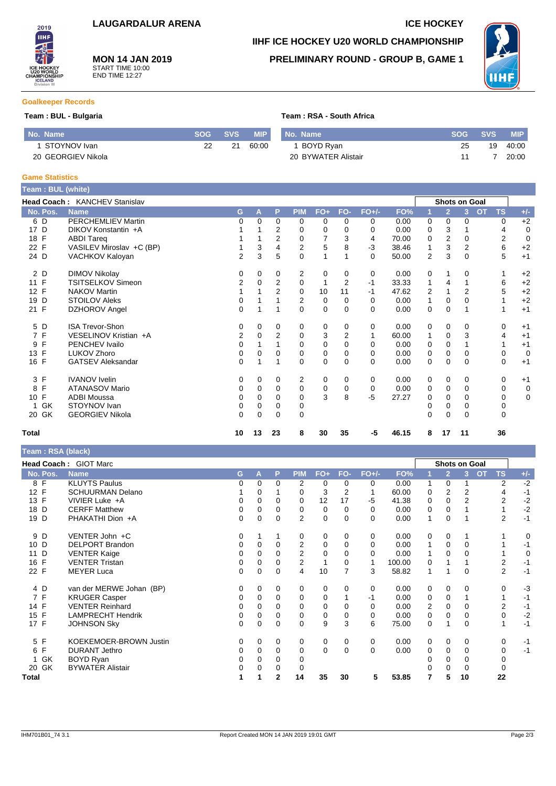

**MON 14 JAN 2019** START TIME 10:00 END TIME 12:27

# **IIHF ICE HOCKEY U20 WORLD CHAMPIONSHIP**

### **PRELIMINARY ROUND - GROUP B, GAME 1**



#### **Goalkeeper Records**

#### **Team : BUL - Bulgaria Team : RSA - South Africa**

| l No. Name         |    | SOG SVS | <b>MIP</b> | . No. Name          | <b>SOG</b> | <b>SVS</b> | <b>MIP</b> |
|--------------------|----|---------|------------|---------------------|------------|------------|------------|
| STOYNOV Ivan       | 22 | 21      | 60:00      | BOYD Rvan           | 25         | 19         | 40:00      |
| 20 GEORGIEV Nikola |    |         |            | 20 BYWATER Alistair |            |            | 20:00      |

#### **Game Statistics**

| Team: BUL (white)  |                               |                |          |                |             |             |                |          |       |   |                |                |                        |             |
|--------------------|-------------------------------|----------------|----------|----------------|-------------|-------------|----------------|----------|-------|---|----------------|----------------|------------------------|-------------|
|                    | Head Coach: KANCHEV Stanislav |                |          |                |             |             |                |          |       |   | Shots on Goal  |                |                        |             |
| No. Pos.           | <b>Name</b>                   | G              | A        | P              | <b>PIM</b>  | $FO+$       | FO-            | $FO+/-$  | FO%   |   | $\overline{2}$ | 3              | <b>OT</b><br><b>TS</b> | $+/-$       |
| 6 D                | <b>PERCHEMLIEV Martin</b>     | 0              | $\Omega$ | $\Omega$       | 0           | 0           | $\Omega$       | 0        | 0.00  | 0 | $\Omega$       | 0              | 0                      | $+2$        |
| D<br>17            | DIKOV Konstantin +A           |                |          | $\overline{2}$ | 0           | 0           | 0              | 0        | 0.00  | 0 | 3              |                | 4                      | 0           |
| 18 F               | <b>ABDI Tareg</b>             |                |          | 2              | 0           |             | 3              | 4        | 70.00 | 0 | 2              | 0              | $\overline{2}$         | $\mathbf 0$ |
| $\mathsf{F}$<br>22 | VASILEV Miroslav +C (BP)      |                | 3        | 4              | 2           | 5           | 8              | $-3$     | 38.46 | 1 | 3              | 2              | 6                      | $+2$        |
| 24 D               | VACHKOV Kaloyan               | $\overline{2}$ | 3        | 5              | 0           |             |                | $\Omega$ | 50.00 | 2 | 3              | 0              | 5                      | $+1$        |
| 2 D                | <b>DIMOV Nikolay</b>          | 0              | 0        | 0              | 2           | 0           | 0              | 0        | 0.00  | 0 | 1              | 0              |                        | $+2$        |
| 11 F               | <b>TSITSELKOV Simeon</b>      | 2              | $\Omega$ | $\overline{2}$ | 0           | 1           | $\overline{2}$ | $-1$     | 33.33 | 1 | 4              | 1              | 6                      | $+2$        |
| $\mathsf{F}$<br>12 | <b>NAKOV Martin</b>           |                |          | 2              | $\mathbf 0$ | 10          | 11             | $-1$     | 47.62 | 2 |                | $\overline{2}$ | 5                      | $+2$        |
| D<br>19            | <b>STOILOV Aleks</b>          | 0              |          |                | 2           | 0           | 0              | 0        | 0.00  | 1 | 0              | 0              |                        | $+2$        |
| 21 F               | DZHOROV Angel                 | 0              |          |                | $\Omega$    | $\mathbf 0$ | $\Omega$       | $\Omega$ | 0.00  | 0 | 0              |                |                        | $+1$        |
| 5 D                | <b>ISA Trevor-Shon</b>        | 0              | 0        | 0              | 0           | 0           | 0              | 0        | 0.00  | 0 | 0              | 0              | 0                      | $+1$        |
| 7 F                | VESELINOV Kristian +A         | 2              | $\Omega$ | $\overline{2}$ | 0           | 3           | 2              | 1        | 60.00 | 1 | 0              | 3              | 4                      | $+1$        |
| F<br>9             | PENCHEV Ivailo                | 0              |          |                | 0           | 0           | 0              | $\Omega$ | 0.00  | 0 | 0              |                |                        | $+1$        |
| F<br>13            | LUKOV Zhoro                   | 0              | $\Omega$ | 0              | 0           | 0           | $\Omega$       | $\Omega$ | 0.00  | 0 | 0              | 0              | 0                      | $\mathbf 0$ |
| 16 F               | <b>GATSEV Aleksandar</b>      | 0              |          |                | 0           | $\mathbf 0$ | $\Omega$       | $\Omega$ | 0.00  | 0 | 0              | 0              | 0                      | $+1$        |
| 3 F                | <b>IVANOV</b> Ivelin          | 0              | 0        | 0              | 2           | 0           | 0              | 0        | 0.00  | 0 | 0              | 0              | 0                      | $+1$        |
| F<br>8             | <b>ATANASOV Mario</b>         | 0              | 0        | 0              | 0           | 0           | 0              | 0        | 0.00  | 0 | 0              | 0              | 0                      | 0           |
| F<br>10            | <b>ADBI Moussa</b>            | 0              | $\Omega$ | 0              | 0           | 3           | 8              | $-5$     | 27.27 | 0 | 0              | 0              | 0                      | $\mathbf 0$ |
| GK                 | STOYNOV Ivan                  | 0              | 0        | 0              | 0           |             |                |          |       | 0 | 0              | 0              | 0                      |             |
| 20 GK              | <b>GEORGIEV Nikola</b>        | 0              | $\Omega$ | $\Omega$       | $\Omega$    |             |                |          |       | 0 | $\Omega$       | 0              | 0                      |             |
| <b>Total</b>       |                               | 10             | 13       | 23             | 8           | 30          | 35             | -5       | 46.15 | 8 | 17             | 11             | 36                     |             |

| Team: RSA (black)  |                              |    |          |          |                |             |                |         |        |             |                |                      |                        |       |
|--------------------|------------------------------|----|----------|----------|----------------|-------------|----------------|---------|--------|-------------|----------------|----------------------|------------------------|-------|
|                    | <b>Head Coach: GIOT Marc</b> |    |          |          |                |             |                |         |        |             |                | <b>Shots on Goal</b> |                        |       |
| No. Pos.           | <b>Name</b>                  | G. | A        | P        | <b>PIM</b>     | $FO+$       | FO-            | $FO+/-$ | FO%    |             | $\overline{2}$ | 3                    | <b>OT</b><br><b>TS</b> | $+/-$ |
| 8 F                | <b>KLUYTS Paulus</b>         | 0  | $\Omega$ | 0        | 2              | 0           | 0              | 0       | 0.00   | 1           | 0              |                      | 2                      | $-2$  |
| 12 F               | <b>SCHUURMAN Delano</b>      |    | 0        |          | 0              | 3           | $\overline{2}$ |         | 60.00  | 0           | 2              | 2                    | 4                      | $-1$  |
| 13 F               | VIVIER Luke +A               | 0  | $\Omega$ | 0        | 0              | 12          | 17             | $-5$    | 41.38  | $\mathbf 0$ | $\mathbf 0$    | $\overline{2}$       | 2                      | $-2$  |
| 18 D               | <b>CERFF Matthew</b>         | 0  | 0        | 0        | 0              | 0           | 0              | 0       | 0.00   | 0           | 0              |                      |                        | $-2$  |
| 19 D               | PHAKATHI Dion +A             | 0  | 0        | 0        | $\overline{2}$ | $\pmb{0}$   | $\Omega$       | 0       | 0.00   | 1           | 0              |                      | 2                      | $-1$  |
| 9<br>D             | VENTER John +C               | 0  |          |          | 0              | 0           | 0              | 0       | 0.00   | 0           | 0              |                      |                        | 0     |
| 10 D               | <b>DELPORT Brandon</b>       | 0  | 0        | 0        | $\overline{2}$ | 0           | 0              | 0       | 0.00   | 1           | 0              | 0                    |                        | $-1$  |
| D<br>11            | <b>VENTER Kaige</b>          | 0  | 0        | 0        | 2              | 0           | 0              | 0       | 0.00   | 1           | 0              | 0                    |                        | 0     |
| $\mathsf{F}$<br>16 | <b>VENTER Tristan</b>        | 0  | $\Omega$ | 0        | $\overline{2}$ | 1           | $\mathbf 0$    |         | 100.00 | 0           |                |                      | 2                      | $-1$  |
| 22 F               | <b>MEYER Luca</b>            | 0  | $\Omega$ | $\Omega$ | 4              | 10          | $\overline{7}$ | 3       | 58.82  | 1           |                | 0                    | $\overline{2}$         | $-1$  |
| 4 D                | van der MERWE Johan (BP)     | 0  | 0        | 0        | 0              | 0           | 0              | 0       | 0.00   | 0           | 0              | 0                    | 0                      | $-3$  |
| 7 F                | <b>KRUGER Casper</b>         | 0  | 0        | $\Omega$ | 0              | $\mathbf 0$ |                | -1      | 0.00   | 0           | 0              |                      |                        | $-1$  |
| 14 F               | <b>VENTER Reinhard</b>       | 0  | $\Omega$ | $\Omega$ | $\Omega$       | 0           | $\Omega$       | 0       | 0.00   | 2           | 0              | 0                    | 2                      | $-1$  |
| 15 F               | <b>LAMPRECHT Hendrik</b>     | 0  | 0        | 0        | 0              | 0           | 0              | 0       | 0.00   | 0           | 0              | 0                    | 0                      | $-2$  |
| 17 F               | <b>JOHNSON Sky</b>           | 0  | $\Omega$ | 0        | $\Omega$       | 9           | 3              | 6       | 75.00  | 0           |                | 0                    | 1                      | $-1$  |
| 5 F                | KOEKEMOER-BROWN Justin       | 0  | 0        | 0        | 0              | 0           | 0              | 0       | 0.00   | 0           | 0              | 0                    | 0                      | $-1$  |
| F<br>6             | <b>DURANT Jethro</b>         | 0  | 0        | 0        | 0              | 0           | $\Omega$       | 0       | 0.00   | 0           | 0              | 0                    | 0                      | $-1$  |
| GK<br>1            | <b>BOYD Ryan</b>             | 0  | 0        | 0        | 0              |             |                |         |        | 0           | 0              | 0                    | 0                      |       |
| 20 GK              | <b>BYWATER Alistair</b>      | 0  |          | 0        | 0              |             |                |         |        |             | 0              | 0                    | 0                      |       |
| Total              |                              | 1  |          | 2        | 14             | 35          | 30             | 5       | 53.85  | 7           | 5              | 10                   | 22                     |       |